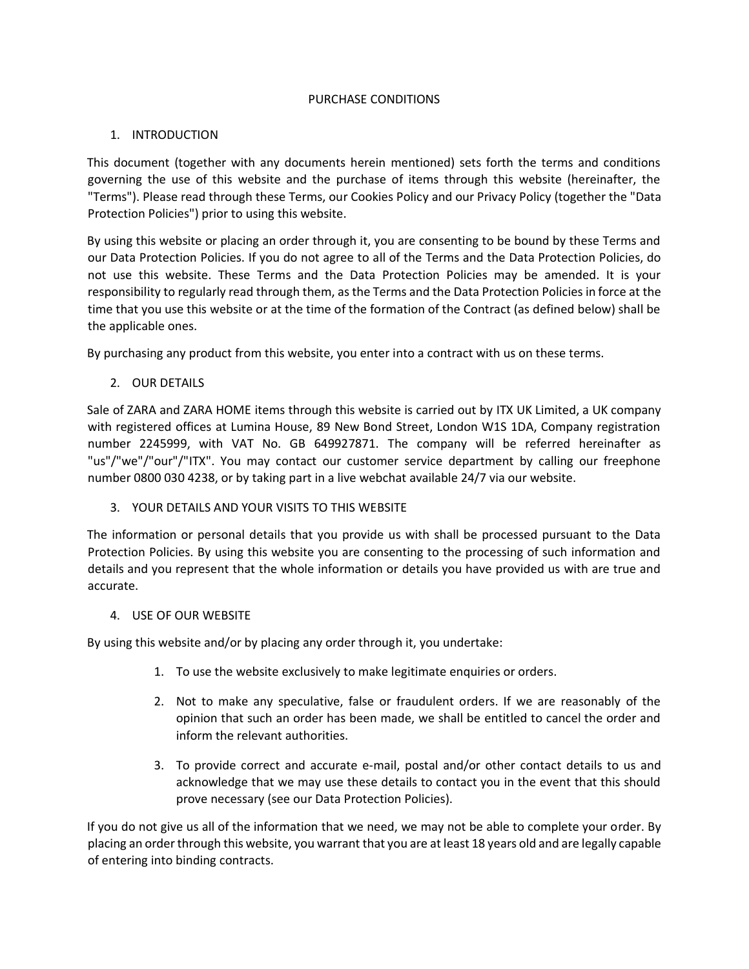## PURCHASE CONDITIONS

## 1. INTRODUCTION

This document (together with any documents herein mentioned) sets forth the terms and conditions governing the use of this website and the purchase of items through this website (hereinafter, the "Terms"). Please read through these Terms, our Cookies Policy and our Privacy Policy (together the "Data Protection Policies") prior to using this website.

By using this website or placing an order through it, you are consenting to be bound by these Terms and our Data Protection Policies. If you do not agree to all of the Terms and the Data Protection Policies, do not use this website. These Terms and the Data Protection Policies may be amended. It is your responsibility to regularly read through them, as the Terms and the Data Protection Policies in force at the time that you use this website or at the time of the formation of the Contract (as defined below) shall be the applicable ones.

By purchasing any product from this website, you enter into a contract with us on these terms.

2. OUR DETAILS

Sale of ZARA and ZARA HOME items through this website is carried out by ITX UK Limited, a UK company with registered offices at Lumina House, 89 New Bond Street, London W1S 1DA, Company registration number 2245999, with VAT No. GB 649927871. The company will be referred hereinafter as "us"/"we"/"our"/"ITX". You may contact our customer service department by calling our freephone number 0800 030 4238, or by taking part in a live webchat available 24/7 via our website.

# 3. YOUR DETAILS AND YOUR VISITS TO THIS WEBSITE

The information or personal details that you provide us with shall be processed pursuant to the Data Protection Policies. By using this website you are consenting to the processing of such information and details and you represent that the whole information or details you have provided us with are true and accurate.

## 4. USE OF OUR WEBSITE

By using this website and/or by placing any order through it, you undertake:

- 1. To use the website exclusively to make legitimate enquiries or orders.
- 2. Not to make any speculative, false or fraudulent orders. If we are reasonably of the opinion that such an order has been made, we shall be entitled to cancel the order and inform the relevant authorities.
- 3. To provide correct and accurate e-mail, postal and/or other contact details to us and acknowledge that we may use these details to contact you in the event that this should prove necessary (see our Data Protection Policies).

If you do not give us all of the information that we need, we may not be able to complete your order. By placing an order through this website, you warrant that you are at least 18 years old and are legally capable of entering into binding contracts.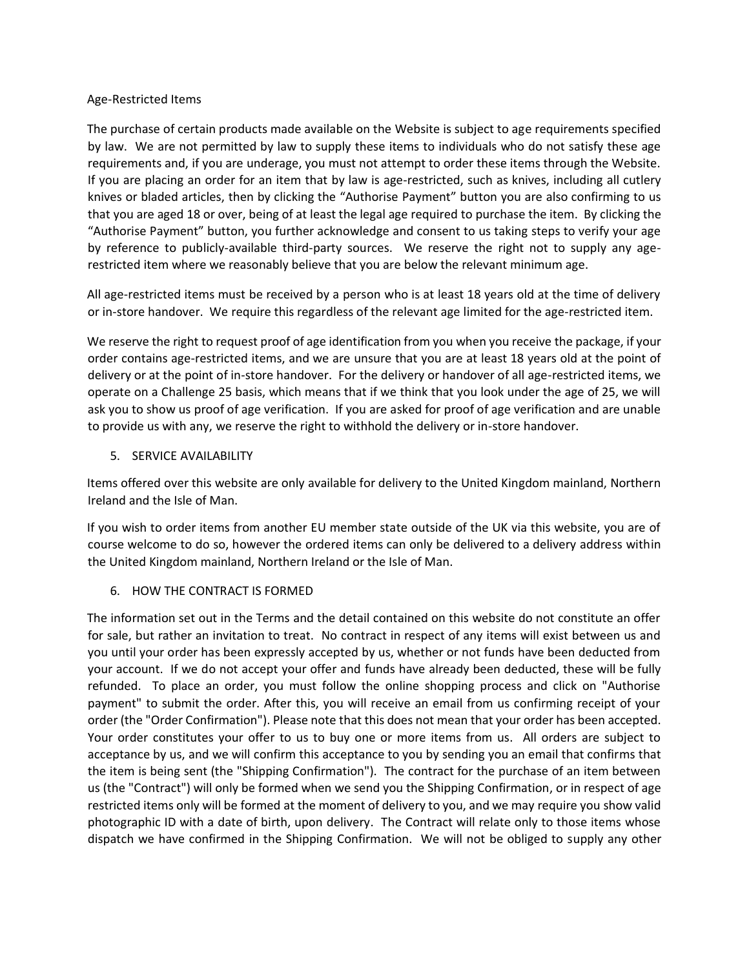## Age-Restricted Items

The purchase of certain products made available on the Website is subject to age requirements specified by law. We are not permitted by law to supply these items to individuals who do not satisfy these age requirements and, if you are underage, you must not attempt to order these items through the Website. If you are placing an order for an item that by law is age-restricted, such as knives, including all cutlery knives or bladed articles, then by clicking the "Authorise Payment" button you are also confirming to us that you are aged 18 or over, being of at least the legal age required to purchase the item. By clicking the "Authorise Payment" button, you further acknowledge and consent to us taking steps to verify your age by reference to publicly-available third-party sources. We reserve the right not to supply any agerestricted item where we reasonably believe that you are below the relevant minimum age.

All age-restricted items must be received by a person who is at least 18 years old at the time of delivery or in-store handover. We require this regardless of the relevant age limited for the age-restricted item.

We reserve the right to request proof of age identification from you when you receive the package, if your order contains age-restricted items, and we are unsure that you are at least 18 years old at the point of delivery or at the point of in-store handover. For the delivery or handover of all age-restricted items, we operate on a Challenge 25 basis, which means that if we think that you look under the age of 25, we will ask you to show us proof of age verification. If you are asked for proof of age verification and are unable to provide us with any, we reserve the right to withhold the delivery or in-store handover.

## 5. SERVICE AVAILABILITY

Items offered over this website are only available for delivery to the United Kingdom mainland, Northern Ireland and the Isle of Man.

If you wish to order items from another EU member state outside of the UK via this website, you are of course welcome to do so, however the ordered items can only be delivered to a delivery address within the United Kingdom mainland, Northern Ireland or the Isle of Man.

## 6. HOW THE CONTRACT IS FORMED

The information set out in the Terms and the detail contained on this website do not constitute an offer for sale, but rather an invitation to treat. No contract in respect of any items will exist between us and you until your order has been expressly accepted by us, whether or not funds have been deducted from your account. If we do not accept your offer and funds have already been deducted, these will be fully refunded. To place an order, you must follow the online shopping process and click on "Authorise payment" to submit the order. After this, you will receive an email from us confirming receipt of your order (the "Order Confirmation"). Please note that this does not mean that your order has been accepted. Your order constitutes your offer to us to buy one or more items from us. All orders are subject to acceptance by us, and we will confirm this acceptance to you by sending you an email that confirms that the item is being sent (the "Shipping Confirmation"). The contract for the purchase of an item between us (the "Contract") will only be formed when we send you the Shipping Confirmation, or in respect of age restricted items only will be formed at the moment of delivery to you, and we may require you show valid photographic ID with a date of birth, upon delivery. The Contract will relate only to those items whose dispatch we have confirmed in the Shipping Confirmation. We will not be obliged to supply any other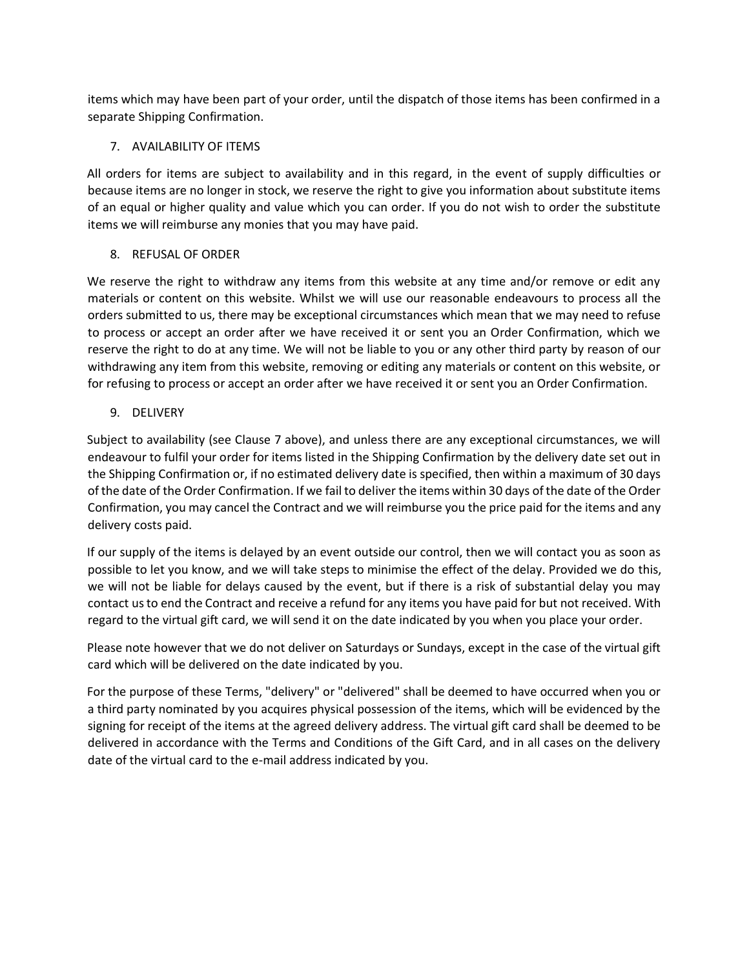items which may have been part of your order, until the dispatch of those items has been confirmed in a separate Shipping Confirmation.

### 7. AVAILABILITY OF ITEMS

All orders for items are subject to availability and in this regard, in the event of supply difficulties or because items are no longer in stock, we reserve the right to give you information about substitute items of an equal or higher quality and value which you can order. If you do not wish to order the substitute items we will reimburse any monies that you may have paid.

## 8. REFUSAL OF ORDER

We reserve the right to withdraw any items from this website at any time and/or remove or edit any materials or content on this website. Whilst we will use our reasonable endeavours to process all the orders submitted to us, there may be exceptional circumstances which mean that we may need to refuse to process or accept an order after we have received it or sent you an Order Confirmation, which we reserve the right to do at any time. We will not be liable to you or any other third party by reason of our withdrawing any item from this website, removing or editing any materials or content on this website, or for refusing to process or accept an order after we have received it or sent you an Order Confirmation.

9. DELIVERY

Subject to availability (see Clause 7 above), and unless there are any exceptional circumstances, we will endeavour to fulfil your order for items listed in the Shipping Confirmation by the delivery date set out in the Shipping Confirmation or, if no estimated delivery date is specified, then within a maximum of 30 days of the date of the Order Confirmation. If we fail to deliver the items within 30 days of the date of the Order Confirmation, you may cancel the Contract and we will reimburse you the price paid for the items and any delivery costs paid.

If our supply of the items is delayed by an event outside our control, then we will contact you as soon as possible to let you know, and we will take steps to minimise the effect of the delay. Provided we do this, we will not be liable for delays caused by the event, but if there is a risk of substantial delay you may contact us to end the Contract and receive a refund for any items you have paid for but not received. With regard to the virtual gift card, we will send it on the date indicated by you when you place your order.

Please note however that we do not deliver on Saturdays or Sundays, except in the case of the virtual gift card which will be delivered on the date indicated by you.

For the purpose of these Terms, "delivery" or "delivered" shall be deemed to have occurred when you or a third party nominated by you acquires physical possession of the items, which will be evidenced by the signing for receipt of the items at the agreed delivery address. The virtual gift card shall be deemed to be delivered in accordance with the Terms and Conditions of the Gift Card, and in all cases on the delivery date of the virtual card to the e-mail address indicated by you.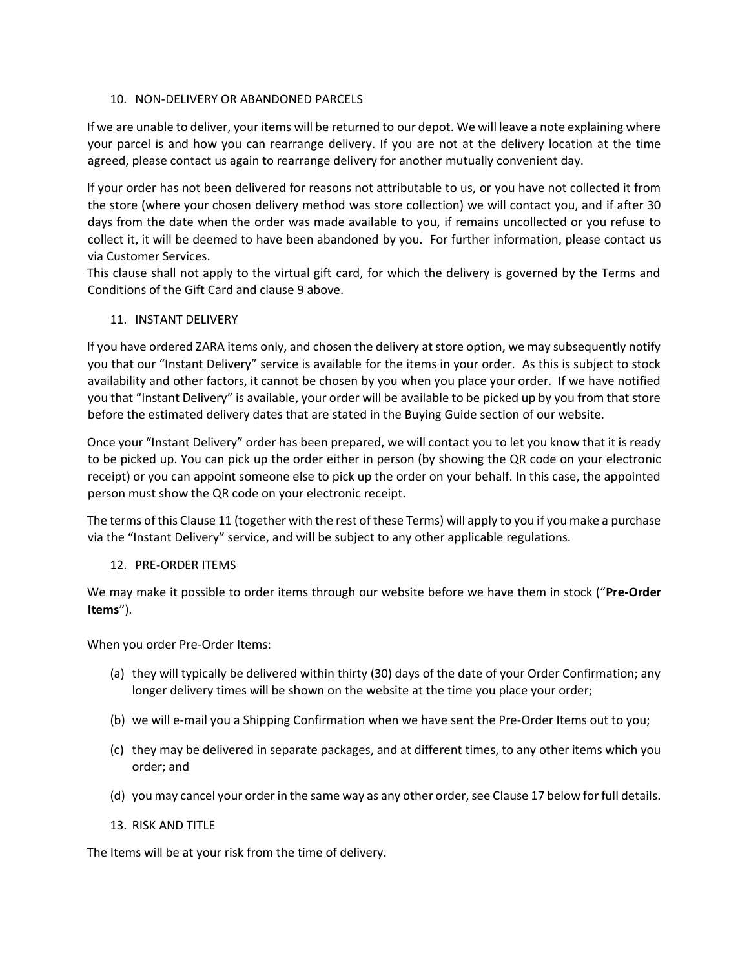## 10. NON-DELIVERY OR ABANDONED PARCELS

If we are unable to deliver, your items will be returned to our depot. We will leave a note explaining where your parcel is and how you can rearrange delivery. If you are not at the delivery location at the time agreed, please contact us again to rearrange delivery for another mutually convenient day.

If your order has not been delivered for reasons not attributable to us, or you have not collected it from the store (where your chosen delivery method was store collection) we will contact you, and if after 30 days from the date when the order was made available to you, if remains uncollected or you refuse to collect it, it will be deemed to have been abandoned by you. For further information, please contact us via Customer Services.

This clause shall not apply to the virtual gift card, for which the delivery is governed by the Terms and Conditions of the Gift Card and clause 9 above.

## 11. INSTANT DELIVERY

If you have ordered ZARA items only, and chosen the delivery at store option, we may subsequently notify you that our "Instant Delivery" service is available for the items in your order. As this is subject to stock availability and other factors, it cannot be chosen by you when you place your order. If we have notified you that "Instant Delivery" is available, your order will be available to be picked up by you from that store before the estimated delivery dates that are stated in the Buying Guide section of our website.

Once your "Instant Delivery" order has been prepared, we will contact you to let you know that it is ready to be picked up. You can pick up the order either in person (by showing the QR code on your electronic receipt) or you can appoint someone else to pick up the order on your behalf. In this case, the appointed person must show the QR code on your electronic receipt.

The terms of this Clause 11 (together with the rest of these Terms) will apply to you if you make a purchase via the "Instant Delivery" service, and will be subject to any other applicable regulations.

## 12. PRE-ORDER ITEMS

We may make it possible to order items through our website before we have them in stock ("**Pre-Order Items**").

When you order Pre-Order Items:

- (a) they will typically be delivered within thirty (30) days of the date of your Order Confirmation; any longer delivery times will be shown on the website at the time you place your order;
- (b) we will e-mail you a Shipping Confirmation when we have sent the Pre-Order Items out to you;
- (c) they may be delivered in separate packages, and at different times, to any other items which you order; and
- (d) you may cancel your order in the same way as any other order, see Clause 17 below for full details.
- 13. RISK AND TITLE

The Items will be at your risk from the time of delivery.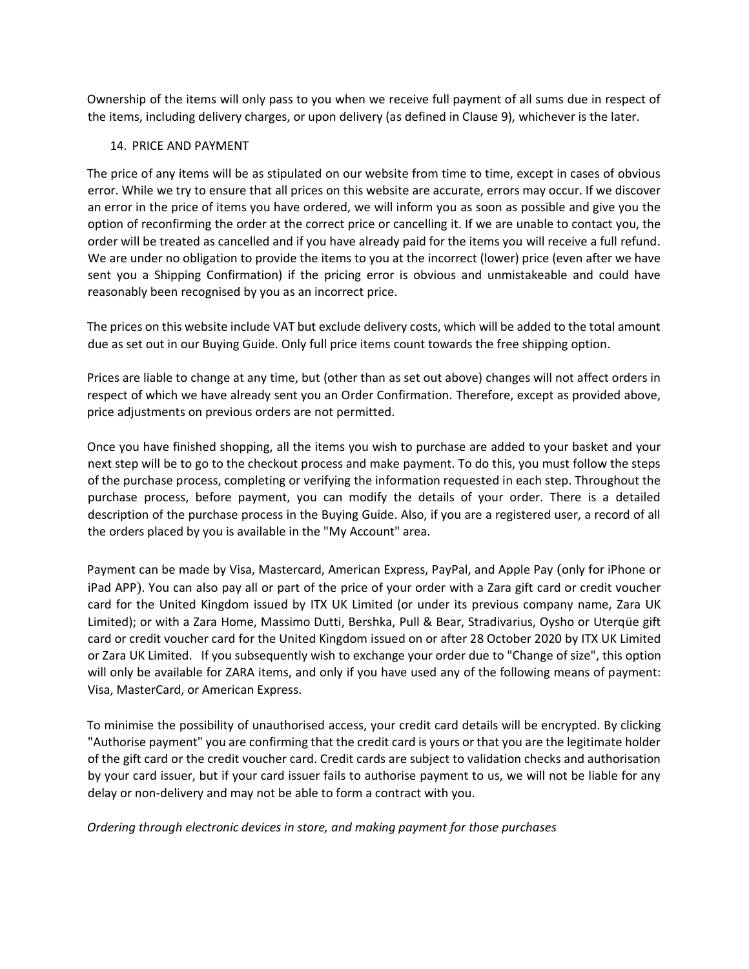Ownership of the items will only pass to you when we receive full payment of all sums due in respect of the items, including delivery charges, or upon delivery (as defined in Clause 9), whichever is the later.

#### 14. PRICE AND PAYMENT

The price of any items will be as stipulated on our website from time to time, except in cases of obvious error. While we try to ensure that all prices on this website are accurate, errors may occur. If we discover an error in the price of items you have ordered, we will inform you as soon as possible and give you the option of reconfirming the order at the correct price or cancelling it. If we are unable to contact you, the order will be treated as cancelled and if you have already paid for the items you will receive a full refund. We are under no obligation to provide the items to you at the incorrect (lower) price (even after we have sent you a Shipping Confirmation) if the pricing error is obvious and unmistakeable and could have reasonably been recognised by you as an incorrect price.

The prices on this website include VAT but exclude delivery costs, which will be added to the total amount due as set out in our Buying Guide. Only full price items count towards the free shipping option.

Prices are liable to change at any time, but (other than as set out above) changes will not affect orders in respect of which we have already sent you an Order Confirmation. Therefore, except as provided above, price adjustments on previous orders are not permitted.

Once you have finished shopping, all the items you wish to purchase are added to your basket and your next step will be to go to the checkout process and make payment. To do this, you must follow the steps of the purchase process, completing or verifying the information requested in each step. Throughout the purchase process, before payment, you can modify the details of your order. There is a detailed description of the purchase process in the Buying Guide. Also, if you are a registered user, a record of all the orders placed by you is available in the "My Account" area.

Payment can be made by Visa, Mastercard, American Express, PayPal, and Apple Pay (only for iPhone or iPad APP). You can also pay all or part of the price of your order with a Zara gift card or credit voucher card for the United Kingdom issued by ITX UK Limited (or under its previous company name, Zara UK Limited); or with a Zara Home, Massimo Dutti, Bershka, Pull & Bear, Stradivarius, Oysho or Uterqüe gift card or credit voucher card for the United Kingdom issued on or after 28 October 2020 by ITX UK Limited or Zara UK Limited. If you subsequently wish to exchange your order due to "Change of size", this option will only be available for ZARA items, and only if you have used any of the following means of payment: Visa, MasterCard, or American Express.

To minimise the possibility of unauthorised access, your credit card details will be encrypted. By clicking "Authorise payment" you are confirming that the credit card is yours or that you are the legitimate holder of the gift card or the credit voucher card. Credit cards are subject to validation checks and authorisation by your card issuer, but if your card issuer fails to authorise payment to us, we will not be liable for any delay or non-delivery and may not be able to form a contract with you.

*Ordering through electronic devices in store, and making payment for those purchases*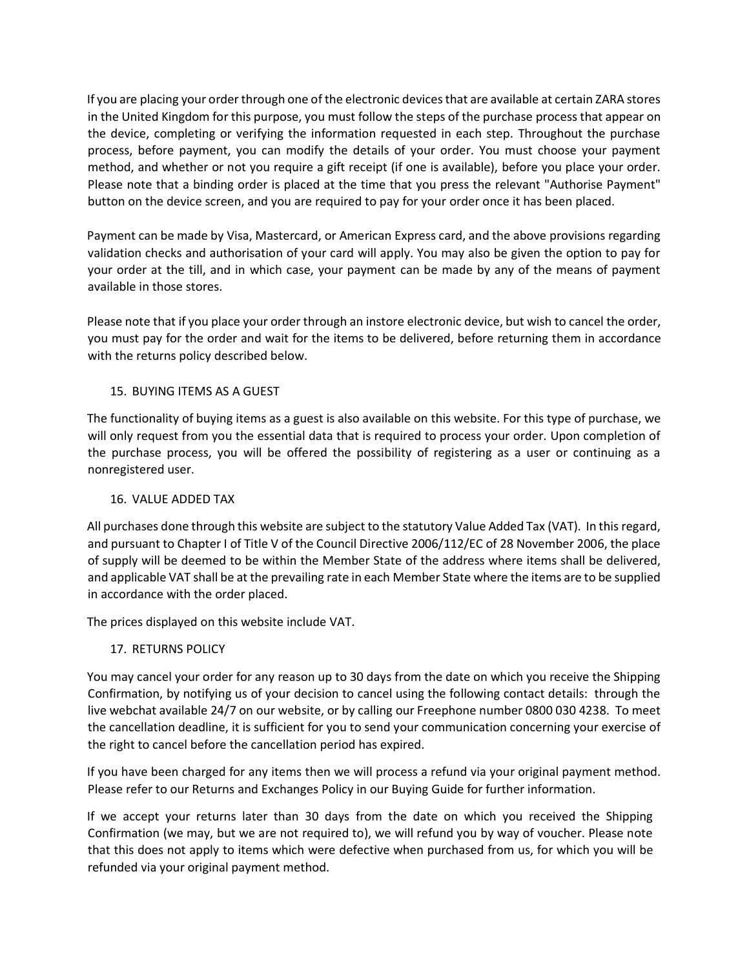If you are placing your order through one of the electronic devices that are available at certain ZARA stores in the United Kingdom for this purpose, you must follow the steps of the purchase process that appear on the device, completing or verifying the information requested in each step. Throughout the purchase process, before payment, you can modify the details of your order. You must choose your payment method, and whether or not you require a gift receipt (if one is available), before you place your order. Please note that a binding order is placed at the time that you press the relevant "Authorise Payment" button on the device screen, and you are required to pay for your order once it has been placed.

Payment can be made by Visa, Mastercard, or American Express card, and the above provisions regarding validation checks and authorisation of your card will apply. You may also be given the option to pay for your order at the till, and in which case, your payment can be made by any of the means of payment available in those stores.

Please note that if you place your order through an instore electronic device, but wish to cancel the order, you must pay for the order and wait for the items to be delivered, before returning them in accordance with the returns policy described below.

## 15. BUYING ITEMS AS A GUEST

The functionality of buying items as a guest is also available on this website. For this type of purchase, we will only request from you the essential data that is required to process your order. Upon completion of the purchase process, you will be offered the possibility of registering as a user or continuing as a nonregistered user.

## 16. VALUE ADDED TAX

All purchases done through this website are subject to the statutory Value Added Tax (VAT). In this regard, and pursuant to Chapter I of Title V of the Council Directive 2006/112/EC of 28 November 2006, the place of supply will be deemed to be within the Member State of the address where items shall be delivered, and applicable VAT shall be at the prevailing rate in each Member State where the items are to be supplied in accordance with the order placed.

The prices displayed on this website include VAT.

# 17. RETURNS POLICY

You may cancel your order for any reason up to 30 days from the date on which you receive the Shipping Confirmation, by notifying us of your decision to cancel using the following contact details: through the live webchat available 24/7 on our website, or by calling our Freephone number 0800 030 4238. To meet the cancellation deadline, it is sufficient for you to send your communication concerning your exercise of the right to cancel before the cancellation period has expired.

If you have been charged for any items then we will process a refund via your original payment method. Please refer to our Returns and Exchanges Policy in our Buying Guide for further information.

If we accept your returns later than 30 days from the date on which you received the Shipping Confirmation (we may, but we are not required to), we will refund you by way of voucher. Please note that this does not apply to items which were defective when purchased from us, for which you will be refunded via your original payment method.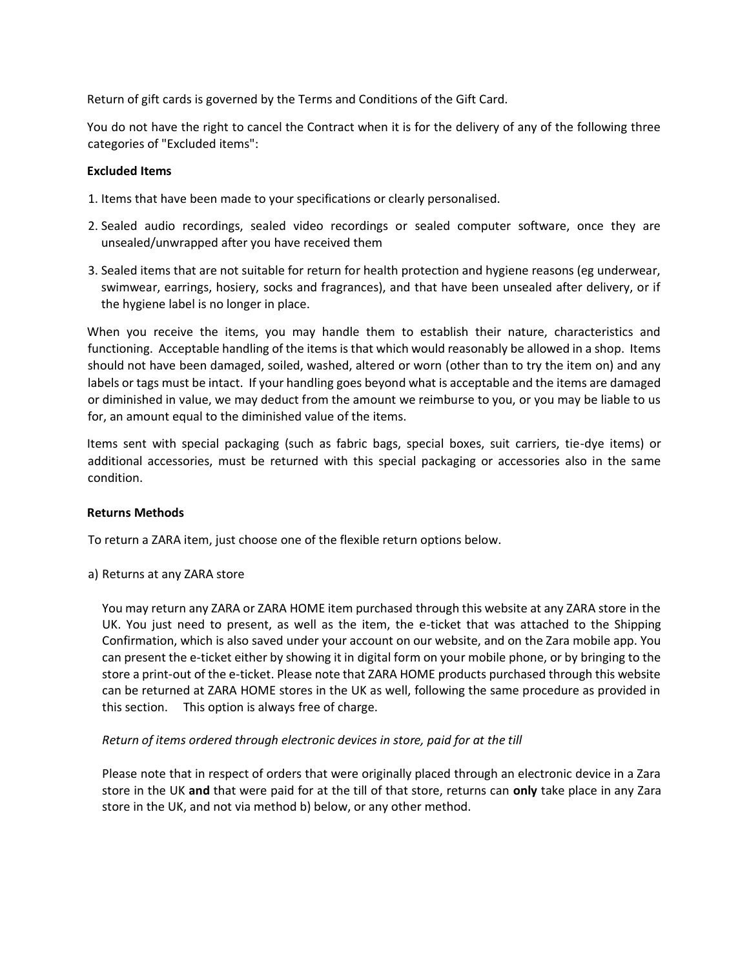Return of gift cards is governed by the Terms and Conditions of the Gift Card.

You do not have the right to cancel the Contract when it is for the delivery of any of the following three categories of "Excluded items":

#### **Excluded Items**

- 1. Items that have been made to your specifications or clearly personalised.
- 2. Sealed audio recordings, sealed video recordings or sealed computer software, once they are unsealed/unwrapped after you have received them
- 3. Sealed items that are not suitable for return for health protection and hygiene reasons (eg underwear, swimwear, earrings, hosiery, socks and fragrances), and that have been unsealed after delivery, or if the hygiene label is no longer in place.

When you receive the items, you may handle them to establish their nature, characteristics and functioning. Acceptable handling of the items is that which would reasonably be allowed in a shop. Items should not have been damaged, soiled, washed, altered or worn (other than to try the item on) and any labels or tags must be intact. If your handling goes beyond what is acceptable and the items are damaged or diminished in value, we may deduct from the amount we reimburse to you, or you may be liable to us for, an amount equal to the diminished value of the items.

Items sent with special packaging (such as fabric bags, special boxes, suit carriers, tie-dye items) or additional accessories, must be returned with this special packaging or accessories also in the same condition.

#### **Returns Methods**

To return a ZARA item, just choose one of the flexible return options below.

a) Returns at any ZARA store

You may return any ZARA or ZARA HOME item purchased through this website at any ZARA store in the UK. You just need to present, as well as the item, the e-ticket that was attached to the Shipping Confirmation, which is also saved under your account on our website, and on the Zara mobile app. You can present the e-ticket either by showing it in digital form on your mobile phone, or by bringing to the store a print-out of the e-ticket. Please note that ZARA HOME products purchased through this website can be returned at ZARA HOME stores in the UK as well, following the same procedure as provided in this section. This option is always free of charge.

## *Return of items ordered through electronic devices in store, paid for at the till*

Please note that in respect of orders that were originally placed through an electronic device in a Zara store in the UK **and** that were paid for at the till of that store, returns can **only** take place in any Zara store in the UK, and not via method b) below, or any other method.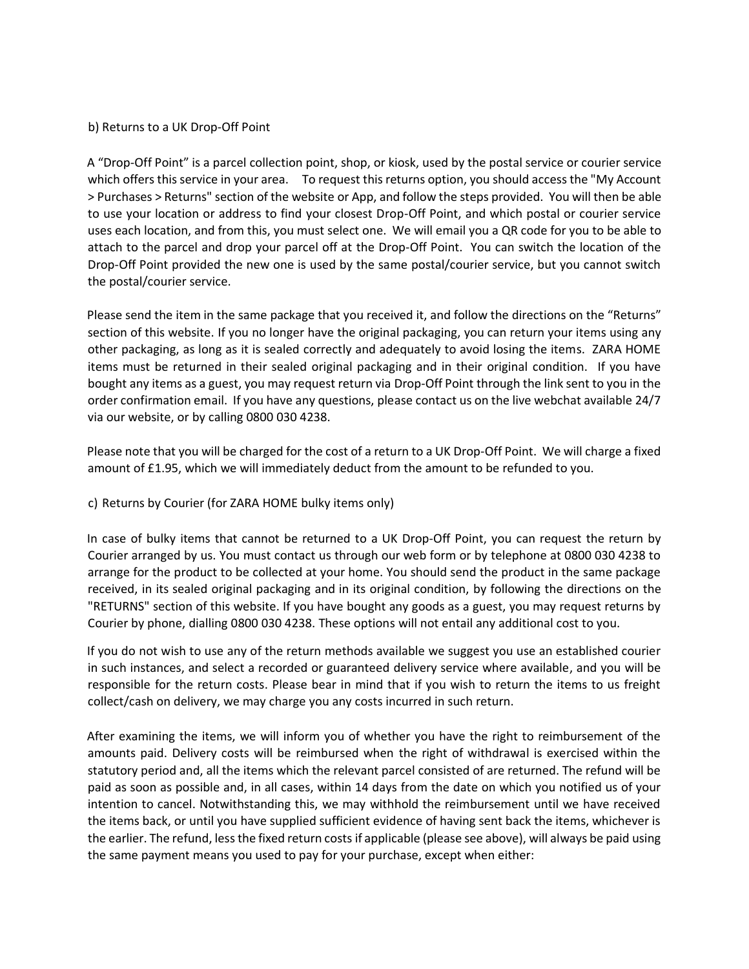### b) Returns to a UK Drop-Off Point

A "Drop-Off Point" is a parcel collection point, shop, or kiosk, used by the postal service or courier service which offers this service in your area. To request this returns option, you should access the "My Account" > Purchases > Returns" section of the website or App, and follow the steps provided. You will then be able to use your location or address to find your closest Drop-Off Point, and which postal or courier service uses each location, and from this, you must select one. We will email you a QR code for you to be able to attach to the parcel and drop your parcel off at the Drop-Off Point. You can switch the location of the Drop-Off Point provided the new one is used by the same postal/courier service, but you cannot switch the postal/courier service.

Please send the item in the same package that you received it, and follow the directions on the "Returns" section of this website. If you no longer have the original packaging, you can return your items using any other packaging, as long as it is sealed correctly and adequately to avoid losing the items. ZARA HOME items must be returned in their sealed original packaging and in their original condition. If you have bought any items as a guest, you may request return via Drop-Off Point through the link sent to you in the order confirmation email. If you have any questions, please contact us on the live webchat available 24/7 via our website, or by calling 0800 030 4238.

Please note that you will be charged for the cost of a return to a UK Drop-Off Point. We will charge a fixed amount of £1.95, which we will immediately deduct from the amount to be refunded to you.

## c) Returns by Courier (for ZARA HOME bulky items only)

In case of bulky items that cannot be returned to a UK Drop-Off Point, you can request the return by Courier arranged by us. You must contact us through our web form or by telephone at 0800 030 4238 to arrange for the product to be collected at your home. You should send the product in the same package received, in its sealed original packaging and in its original condition, by following the directions on the "RETURNS" section of this website. If you have bought any goods as a guest, you may request returns by Courier by phone, dialling 0800 030 4238. These options will not entail any additional cost to you.

If you do not wish to use any of the return methods available we suggest you use an established courier in such instances, and select a recorded or guaranteed delivery service where available, and you will be responsible for the return costs. Please bear in mind that if you wish to return the items to us freight collect/cash on delivery, we may charge you any costs incurred in such return.

After examining the items, we will inform you of whether you have the right to reimbursement of the amounts paid. Delivery costs will be reimbursed when the right of withdrawal is exercised within the statutory period and, all the items which the relevant parcel consisted of are returned. The refund will be paid as soon as possible and, in all cases, within 14 days from the date on which you notified us of your intention to cancel. Notwithstanding this, we may withhold the reimbursement until we have received the items back, or until you have supplied sufficient evidence of having sent back the items, whichever is the earlier. The refund, less the fixed return costs if applicable (please see above), will always be paid using the same payment means you used to pay for your purchase, except when either: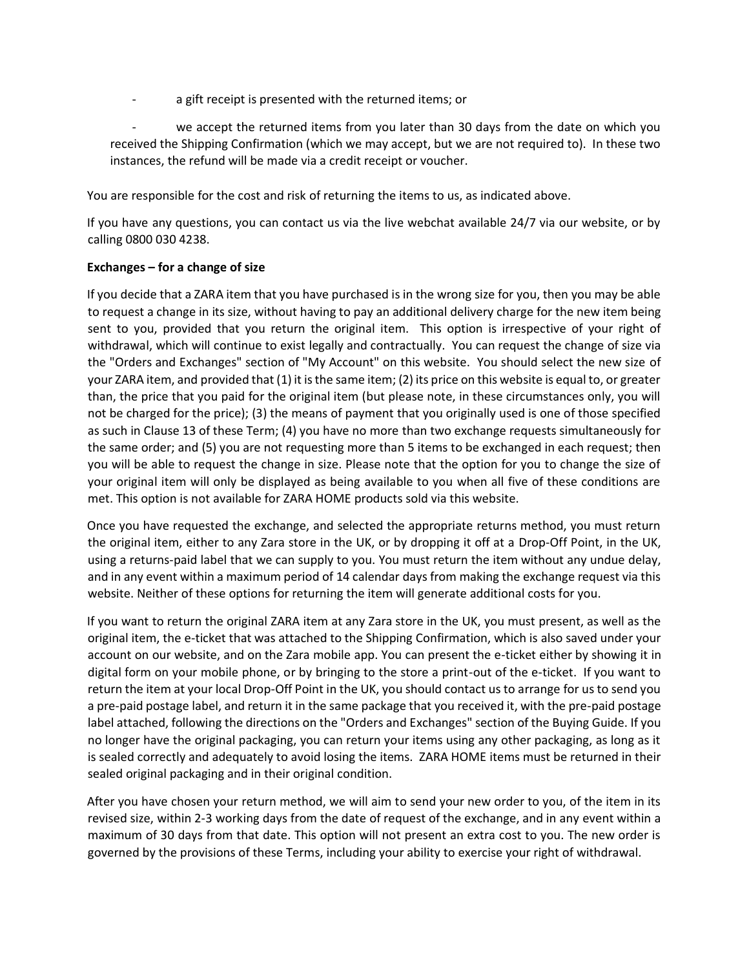- a gift receipt is presented with the returned items; or
- we accept the returned items from you later than 30 days from the date on which you received the Shipping Confirmation (which we may accept, but we are not required to). In these two instances, the refund will be made via a credit receipt or voucher.

You are responsible for the cost and risk of returning the items to us, as indicated above.

If you have any questions, you can contact us via the live webchat available 24/7 via our website, or by calling 0800 030 4238.

## **Exchanges – for a change of size**

If you decide that a ZARA item that you have purchased is in the wrong size for you, then you may be able to request a change in its size, without having to pay an additional delivery charge for the new item being sent to you, provided that you return the original item. This option is irrespective of your right of withdrawal, which will continue to exist legally and contractually. You can request the change of size via the "Orders and Exchanges" section of "My Account" on this website. You should select the new size of your ZARA item, and provided that (1) it is the same item; (2) its price on this website is equal to, or greater than, the price that you paid for the original item (but please note, in these circumstances only, you will not be charged for the price); (3) the means of payment that you originally used is one of those specified as such in Clause 13 of these Term; (4) you have no more than two exchange requests simultaneously for the same order; and (5) you are not requesting more than 5 items to be exchanged in each request; then you will be able to request the change in size. Please note that the option for you to change the size of your original item will only be displayed as being available to you when all five of these conditions are met. This option is not available for ZARA HOME products sold via this website.

Once you have requested the exchange, and selected the appropriate returns method, you must return the original item, either to any Zara store in the UK, or by dropping it off at a Drop-Off Point, in the UK, using a returns-paid label that we can supply to you. You must return the item without any undue delay, and in any event within a maximum period of 14 calendar days from making the exchange request via this website. Neither of these options for returning the item will generate additional costs for you.

If you want to return the original ZARA item at any Zara store in the UK, you must present, as well as the original item, the e-ticket that was attached to the Shipping Confirmation, which is also saved under your account on our website, and on the Zara mobile app. You can present the e-ticket either by showing it in digital form on your mobile phone, or by bringing to the store a print-out of the e-ticket. If you want to return the item at your local Drop-Off Point in the UK, you should contact us to arrange for us to send you a pre-paid postage label, and return it in the same package that you received it, with the pre-paid postage label attached, following the directions on the "Orders and Exchanges" section of the Buying Guide. If you no longer have the original packaging, you can return your items using any other packaging, as long as it is sealed correctly and adequately to avoid losing the items. ZARA HOME items must be returned in their sealed original packaging and in their original condition.

After you have chosen your return method, we will aim to send your new order to you, of the item in its revised size, within 2-3 working days from the date of request of the exchange, and in any event within a maximum of 30 days from that date. This option will not present an extra cost to you. The new order is governed by the provisions of these Terms, including your ability to exercise your right of withdrawal.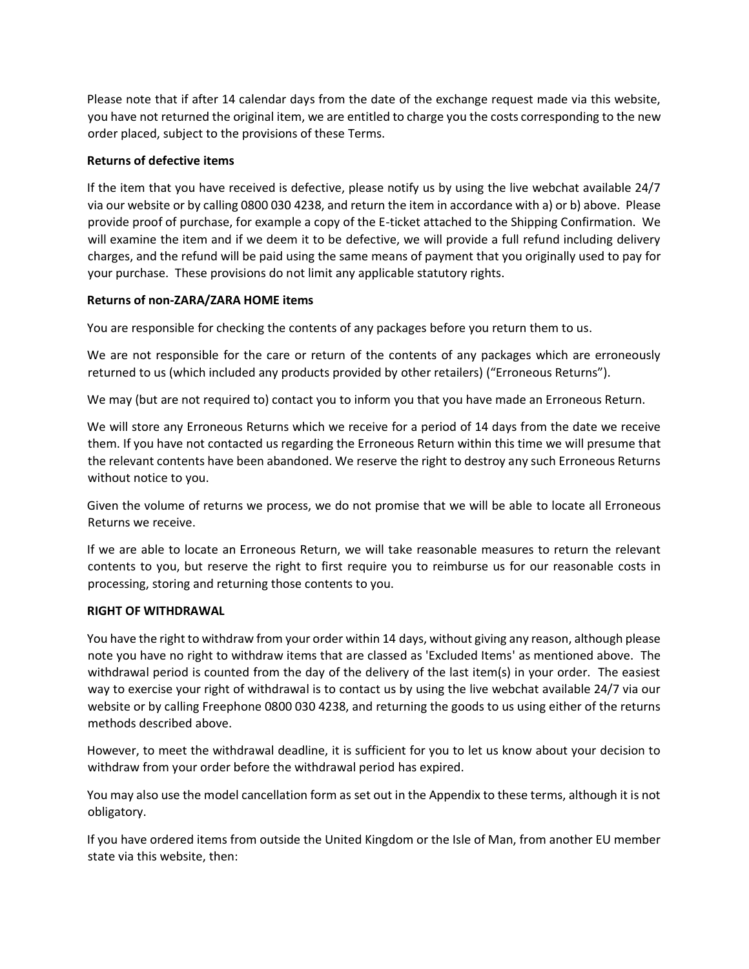Please note that if after 14 calendar days from the date of the exchange request made via this website, you have not returned the original item, we are entitled to charge you the costs corresponding to the new order placed, subject to the provisions of these Terms.

## **Returns of defective items**

If the item that you have received is defective, please notify us by using the live webchat available 24/7 via our website or by calling 0800 030 4238, and return the item in accordance with a) or b) above. Please provide proof of purchase, for example a copy of the E-ticket attached to the Shipping Confirmation. We will examine the item and if we deem it to be defective, we will provide a full refund including delivery charges, and the refund will be paid using the same means of payment that you originally used to pay for your purchase. These provisions do not limit any applicable statutory rights.

## **Returns of non-ZARA/ZARA HOME items**

You are responsible for checking the contents of any packages before you return them to us.

We are not responsible for the care or return of the contents of any packages which are erroneously returned to us (which included any products provided by other retailers) ("Erroneous Returns").

We may (but are not required to) contact you to inform you that you have made an Erroneous Return.

We will store any Erroneous Returns which we receive for a period of 14 days from the date we receive them. If you have not contacted us regarding the Erroneous Return within this time we will presume that the relevant contents have been abandoned. We reserve the right to destroy any such Erroneous Returns without notice to you.

Given the volume of returns we process, we do not promise that we will be able to locate all Erroneous Returns we receive.

If we are able to locate an Erroneous Return, we will take reasonable measures to return the relevant contents to you, but reserve the right to first require you to reimburse us for our reasonable costs in processing, storing and returning those contents to you.

## **RIGHT OF WITHDRAWAL**

You have the right to withdraw from your order within 14 days, without giving any reason, although please note you have no right to withdraw items that are classed as 'Excluded Items' as mentioned above. The withdrawal period is counted from the day of the delivery of the last item(s) in your order. The easiest way to exercise your right of withdrawal is to contact us by using the live webchat available 24/7 via our website or by calling Freephone 0800 030 4238, and returning the goods to us using either of the returns methods described above.

However, to meet the withdrawal deadline, it is sufficient for you to let us know about your decision to withdraw from your order before the withdrawal period has expired.

You may also use the model cancellation form as set out in the Appendix to these terms, although it is not obligatory.

If you have ordered items from outside the United Kingdom or the Isle of Man, from another EU member state via this website, then: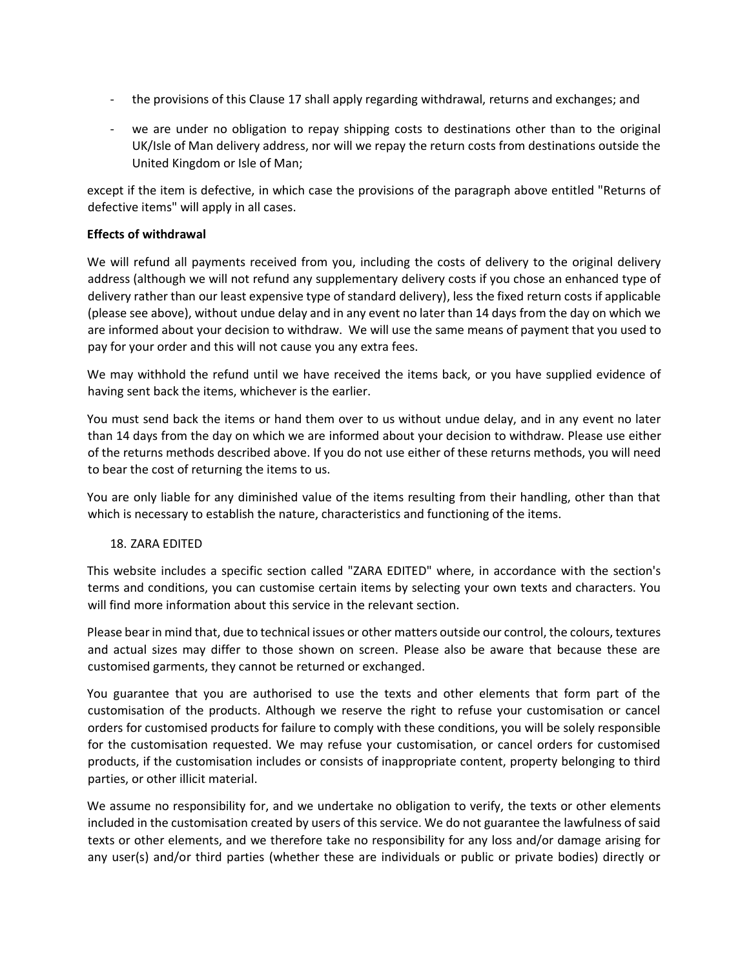- the provisions of this Clause 17 shall apply regarding withdrawal, returns and exchanges; and
- we are under no obligation to repay shipping costs to destinations other than to the original UK/Isle of Man delivery address, nor will we repay the return costs from destinations outside the United Kingdom or Isle of Man;

except if the item is defective, in which case the provisions of the paragraph above entitled "Returns of defective items" will apply in all cases.

### **Effects of withdrawal**

We will refund all payments received from you, including the costs of delivery to the original delivery address (although we will not refund any supplementary delivery costs if you chose an enhanced type of delivery rather than our least expensive type of standard delivery), less the fixed return costs if applicable (please see above), without undue delay and in any event no later than 14 days from the day on which we are informed about your decision to withdraw. We will use the same means of payment that you used to pay for your order and this will not cause you any extra fees.

We may withhold the refund until we have received the items back, or you have supplied evidence of having sent back the items, whichever is the earlier.

You must send back the items or hand them over to us without undue delay, and in any event no later than 14 days from the day on which we are informed about your decision to withdraw. Please use either of the returns methods described above. If you do not use either of these returns methods, you will need to bear the cost of returning the items to us.

You are only liable for any diminished value of the items resulting from their handling, other than that which is necessary to establish the nature, characteristics and functioning of the items.

## 18. ZARA EDITED

This website includes a specific section called "ZARA EDITED" where, in accordance with the section's terms and conditions, you can customise certain items by selecting your own texts and characters. You will find more information about this service in the relevant section.

Please bear in mind that, due to technical issues or other matters outside our control, the colours, textures and actual sizes may differ to those shown on screen. Please also be aware that because these are customised garments, they cannot be returned or exchanged.

You guarantee that you are authorised to use the texts and other elements that form part of the customisation of the products. Although we reserve the right to refuse your customisation or cancel orders for customised products for failure to comply with these conditions, you will be solely responsible for the customisation requested. We may refuse your customisation, or cancel orders for customised products, if the customisation includes or consists of inappropriate content, property belonging to third parties, or other illicit material.

We assume no responsibility for, and we undertake no obligation to verify, the texts or other elements included in the customisation created by users of this service. We do not guarantee the lawfulness of said texts or other elements, and we therefore take no responsibility for any loss and/or damage arising for any user(s) and/or third parties (whether these are individuals or public or private bodies) directly or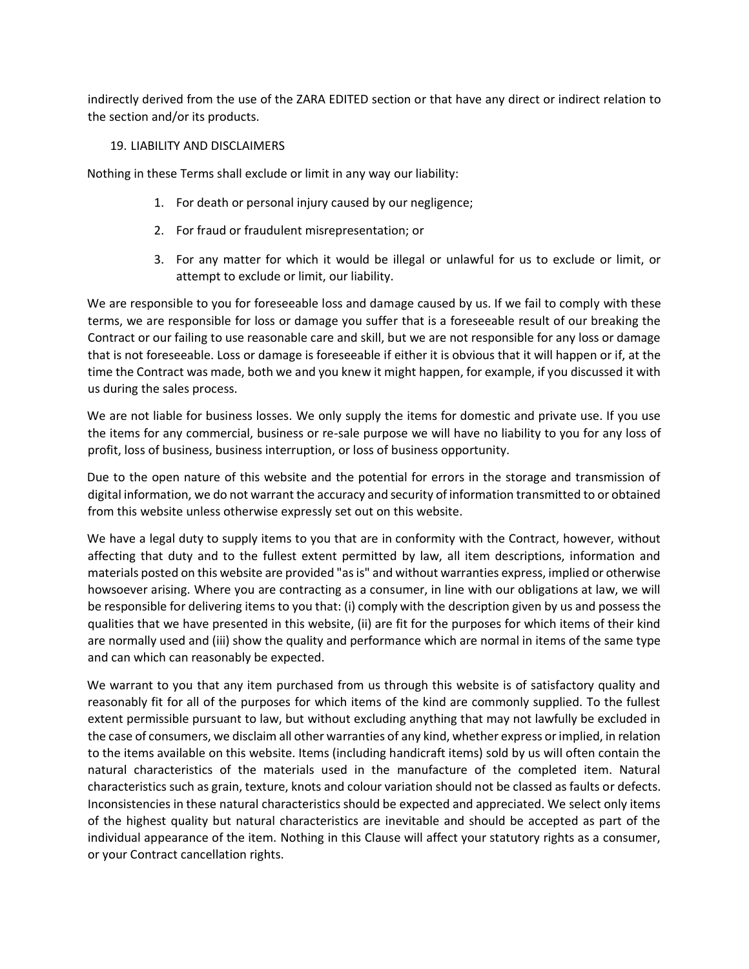indirectly derived from the use of the ZARA EDITED section or that have any direct or indirect relation to the section and/or its products.

### 19. LIABILITY AND DISCLAIMERS

Nothing in these Terms shall exclude or limit in any way our liability:

- 1. For death or personal injury caused by our negligence;
- 2. For fraud or fraudulent misrepresentation; or
- 3. For any matter for which it would be illegal or unlawful for us to exclude or limit, or attempt to exclude or limit, our liability.

We are responsible to you for foreseeable loss and damage caused by us. If we fail to comply with these terms, we are responsible for loss or damage you suffer that is a foreseeable result of our breaking the Contract or our failing to use reasonable care and skill, but we are not responsible for any loss or damage that is not foreseeable. Loss or damage is foreseeable if either it is obvious that it will happen or if, at the time the Contract was made, both we and you knew it might happen, for example, if you discussed it with us during the sales process.

We are not liable for business losses. We only supply the items for domestic and private use. If you use the items for any commercial, business or re-sale purpose we will have no liability to you for any loss of profit, loss of business, business interruption, or loss of business opportunity.

Due to the open nature of this website and the potential for errors in the storage and transmission of digital information, we do not warrant the accuracy and security of information transmitted to or obtained from this website unless otherwise expressly set out on this website.

We have a legal duty to supply items to you that are in conformity with the Contract, however, without affecting that duty and to the fullest extent permitted by law, all item descriptions, information and materials posted on this website are provided "as is" and without warranties express, implied or otherwise howsoever arising. Where you are contracting as a consumer, in line with our obligations at law, we will be responsible for delivering items to you that: (i) comply with the description given by us and possess the qualities that we have presented in this website, (ii) are fit for the purposes for which items of their kind are normally used and (iii) show the quality and performance which are normal in items of the same type and can which can reasonably be expected.

We warrant to you that any item purchased from us through this website is of satisfactory quality and reasonably fit for all of the purposes for which items of the kind are commonly supplied. To the fullest extent permissible pursuant to law, but without excluding anything that may not lawfully be excluded in the case of consumers, we disclaim all other warranties of any kind, whether express or implied, in relation to the items available on this website. Items (including handicraft items) sold by us will often contain the natural characteristics of the materials used in the manufacture of the completed item. Natural characteristics such as grain, texture, knots and colour variation should not be classed as faults or defects. Inconsistencies in these natural characteristics should be expected and appreciated. We select only items of the highest quality but natural characteristics are inevitable and should be accepted as part of the individual appearance of the item. Nothing in this Clause will affect your statutory rights as a consumer, or your Contract cancellation rights.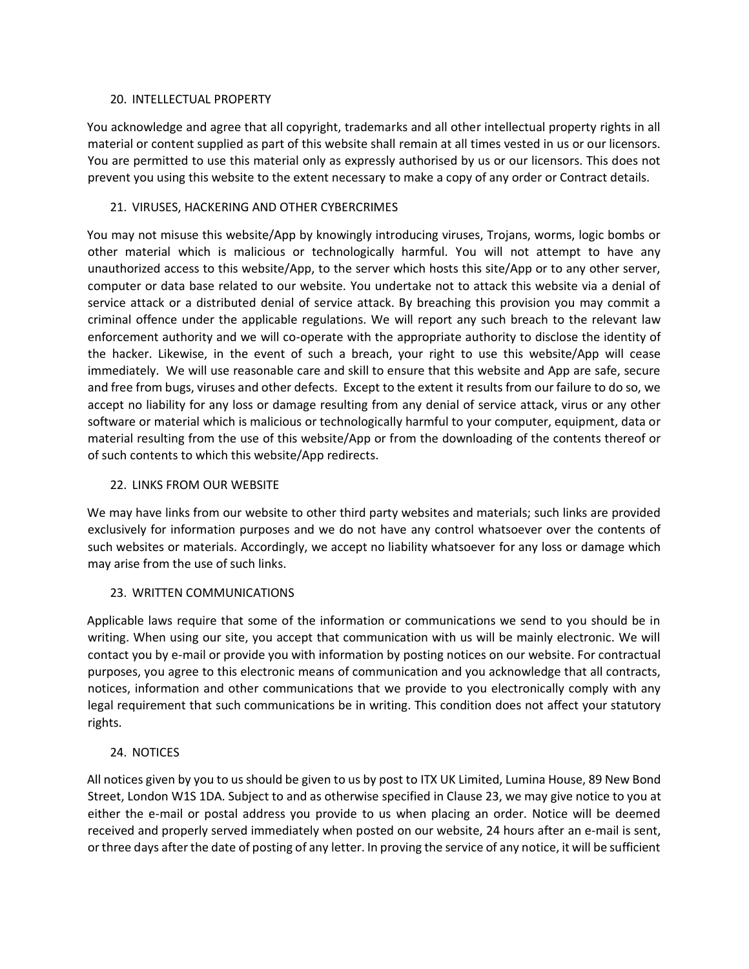### 20. INTELLECTUAL PROPERTY

You acknowledge and agree that all copyright, trademarks and all other intellectual property rights in all material or content supplied as part of this website shall remain at all times vested in us or our licensors. You are permitted to use this material only as expressly authorised by us or our licensors. This does not prevent you using this website to the extent necessary to make a copy of any order or Contract details.

## 21. VIRUSES, HACKERING AND OTHER CYBERCRIMES

You may not misuse this website/App by knowingly introducing viruses, Trojans, worms, logic bombs or other material which is malicious or technologically harmful. You will not attempt to have any unauthorized access to this website/App, to the server which hosts this site/App or to any other server, computer or data base related to our website. You undertake not to attack this website via a denial of service attack or a distributed denial of service attack. By breaching this provision you may commit a criminal offence under the applicable regulations. We will report any such breach to the relevant law enforcement authority and we will co-operate with the appropriate authority to disclose the identity of the hacker. Likewise, in the event of such a breach, your right to use this website/App will cease immediately. We will use reasonable care and skill to ensure that this website and App are safe, secure and free from bugs, viruses and other defects. Except to the extent it results from our failure to do so, we accept no liability for any loss or damage resulting from any denial of service attack, virus or any other software or material which is malicious or technologically harmful to your computer, equipment, data or material resulting from the use of this website/App or from the downloading of the contents thereof or of such contents to which this website/App redirects.

# 22. LINKS FROM OUR WEBSITE

We may have links from our website to other third party websites and materials; such links are provided exclusively for information purposes and we do not have any control whatsoever over the contents of such websites or materials. Accordingly, we accept no liability whatsoever for any loss or damage which may arise from the use of such links.

## 23. WRITTEN COMMUNICATIONS

Applicable laws require that some of the information or communications we send to you should be in writing. When using our site, you accept that communication with us will be mainly electronic. We will contact you by e-mail or provide you with information by posting notices on our website. For contractual purposes, you agree to this electronic means of communication and you acknowledge that all contracts, notices, information and other communications that we provide to you electronically comply with any legal requirement that such communications be in writing. This condition does not affect your statutory rights.

## 24. NOTICES

All notices given by you to us should be given to us by post to ITX UK Limited, Lumina House, 89 New Bond Street, London W1S 1DA. Subject to and as otherwise specified in Clause 23, we may give notice to you at either the e-mail or postal address you provide to us when placing an order. Notice will be deemed received and properly served immediately when posted on our website, 24 hours after an e-mail is sent, or three days after the date of posting of any letter. In proving the service of any notice, it will be sufficient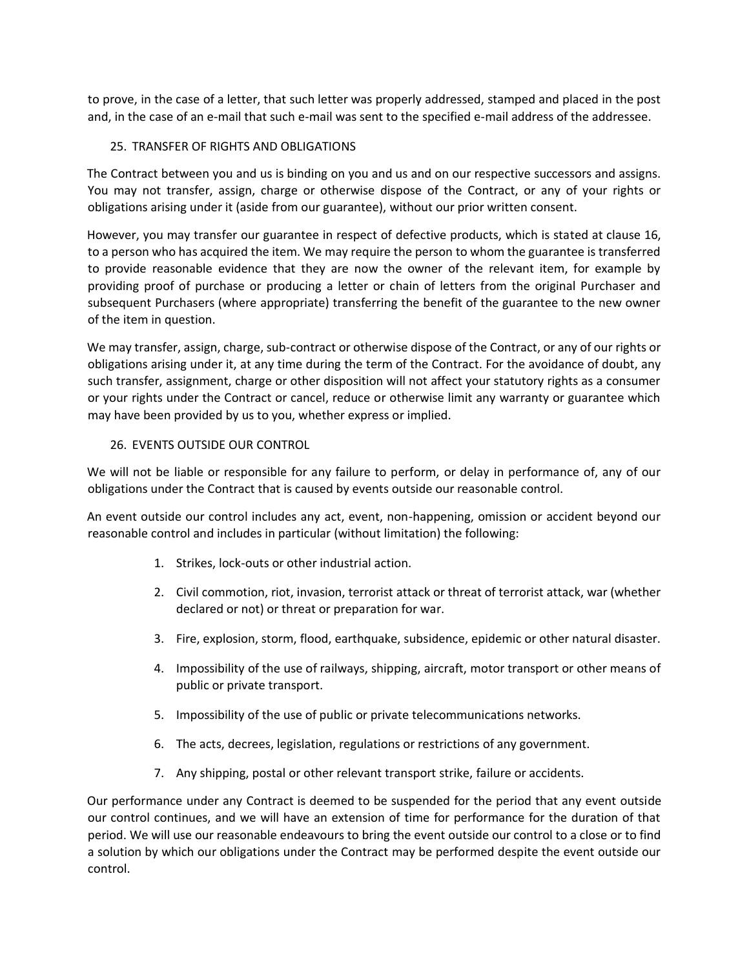to prove, in the case of a letter, that such letter was properly addressed, stamped and placed in the post and, in the case of an e-mail that such e-mail was sent to the specified e-mail address of the addressee.

## 25. TRANSFER OF RIGHTS AND OBLIGATIONS

The Contract between you and us is binding on you and us and on our respective successors and assigns. You may not transfer, assign, charge or otherwise dispose of the Contract, or any of your rights or obligations arising under it (aside from our guarantee), without our prior written consent.

However, you may transfer our guarantee in respect of defective products, which is stated at clause 16, to a person who has acquired the item. We may require the person to whom the guarantee is transferred to provide reasonable evidence that they are now the owner of the relevant item, for example by providing proof of purchase or producing a letter or chain of letters from the original Purchaser and subsequent Purchasers (where appropriate) transferring the benefit of the guarantee to the new owner of the item in question.

We may transfer, assign, charge, sub-contract or otherwise dispose of the Contract, or any of our rights or obligations arising under it, at any time during the term of the Contract. For the avoidance of doubt, any such transfer, assignment, charge or other disposition will not affect your statutory rights as a consumer or your rights under the Contract or cancel, reduce or otherwise limit any warranty or guarantee which may have been provided by us to you, whether express or implied.

## 26. EVENTS OUTSIDE OUR CONTROL

We will not be liable or responsible for any failure to perform, or delay in performance of, any of our obligations under the Contract that is caused by events outside our reasonable control.

An event outside our control includes any act, event, non-happening, omission or accident beyond our reasonable control and includes in particular (without limitation) the following:

- 1. Strikes, lock-outs or other industrial action.
- 2. Civil commotion, riot, invasion, terrorist attack or threat of terrorist attack, war (whether declared or not) or threat or preparation for war.
- 3. Fire, explosion, storm, flood, earthquake, subsidence, epidemic or other natural disaster.
- 4. Impossibility of the use of railways, shipping, aircraft, motor transport or other means of public or private transport.
- 5. Impossibility of the use of public or private telecommunications networks.
- 6. The acts, decrees, legislation, regulations or restrictions of any government.
- 7. Any shipping, postal or other relevant transport strike, failure or accidents.

Our performance under any Contract is deemed to be suspended for the period that any event outside our control continues, and we will have an extension of time for performance for the duration of that period. We will use our reasonable endeavours to bring the event outside our control to a close or to find a solution by which our obligations under the Contract may be performed despite the event outside our control.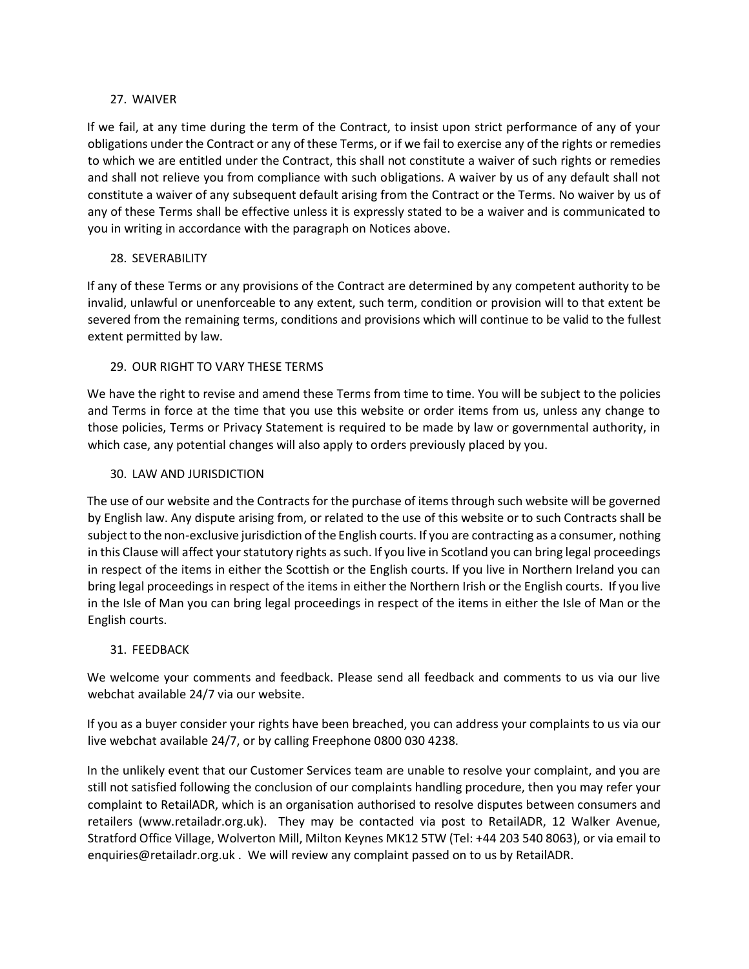## 27. WAIVER

If we fail, at any time during the term of the Contract, to insist upon strict performance of any of your obligations under the Contract or any of these Terms, or if we fail to exercise any of the rights or remedies to which we are entitled under the Contract, this shall not constitute a waiver of such rights or remedies and shall not relieve you from compliance with such obligations. A waiver by us of any default shall not constitute a waiver of any subsequent default arising from the Contract or the Terms. No waiver by us of any of these Terms shall be effective unless it is expressly stated to be a waiver and is communicated to you in writing in accordance with the paragraph on Notices above.

# 28. SEVERABILITY

If any of these Terms or any provisions of the Contract are determined by any competent authority to be invalid, unlawful or unenforceable to any extent, such term, condition or provision will to that extent be severed from the remaining terms, conditions and provisions which will continue to be valid to the fullest extent permitted by law.

# 29. OUR RIGHT TO VARY THESE TERMS

We have the right to revise and amend these Terms from time to time. You will be subject to the policies and Terms in force at the time that you use this website or order items from us, unless any change to those policies, Terms or Privacy Statement is required to be made by law or governmental authority, in which case, any potential changes will also apply to orders previously placed by you.

## 30. LAW AND JURISDICTION

The use of our website and the Contracts for the purchase of items through such website will be governed by English law. Any dispute arising from, or related to the use of this website or to such Contracts shall be subject to the non-exclusive jurisdiction of the English courts. If you are contracting as a consumer, nothing in this Clause will affect your statutory rights as such. If you live in Scotland you can bring legal proceedings in respect of the items in either the Scottish or the English courts. If you live in Northern Ireland you can bring legal proceedings in respect of the items in either the Northern Irish or the English courts. If you live in the Isle of Man you can bring legal proceedings in respect of the items in either the Isle of Man or the English courts.

## 31. FEEDBACK

We welcome your comments and feedback. Please send all feedback and comments to us via our live webchat available 24/7 via our website.

If you as a buyer consider your rights have been breached, you can address your complaints to us via our live webchat available 24/7, or by calling Freephone 0800 030 4238.

In the unlikely event that our Customer Services team are unable to resolve your complaint, and you are still not satisfied following the conclusion of our complaints handling procedure, then you may refer your complaint to RetailADR, which is an organisation authorised to resolve disputes between consumers and retailers [\(www.retailadr.org.uk\).](http://www.retailadr.org.uk/) They may be contacted via post to RetailADR, 12 Walker Avenue, Stratford Office Village, Wolverton Mill, Milton Keynes MK12 5TW (Tel: +44 203 540 8063), or via email to enquiries@retailadr.org.uk . We will review any complaint passed on to us by RetailADR.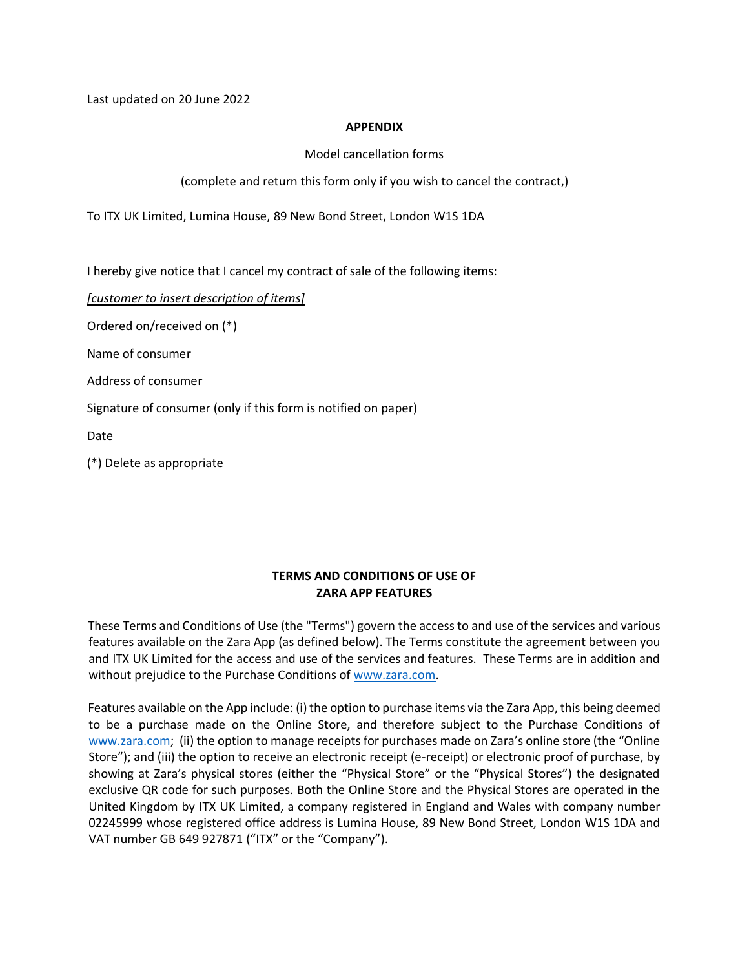Last updated on 20 June 2022

#### **APPENDIX**

Model cancellation forms

(complete and return this form only if you wish to cancel the contract,)

To ITX UK Limited, Lumina House, 89 New Bond Street, London W1S 1DA

I hereby give notice that I cancel my contract of sale of the following items:

*[customer to insert description of items]*

Ordered on/received on (\*)

Name of consumer

Address of consumer

Signature of consumer (only if this form is notified on paper)

Date

(\*) Delete as appropriate

## **TERMS AND CONDITIONS OF USE OF ZARA APP FEATURES**

These Terms and Conditions of Use (the "Terms") govern the access to and use of the services and various features available on the Zara App (as defined below). The Terms constitute the agreement between you and ITX UK Limited for the access and use of the services and features. These Terms are in addition and without prejudice to the Purchase Conditions of [www.zara.com.](http://www.zara.com/)

Features available on the App include: (i) the option to purchase items via the Zara App, this being deemed to be a purchase made on the Online Store, and therefore subject to the Purchase Conditions of [www.zara.com](http://www.zara.com/); (ii) the option to manage receipts for purchases made on Zara's online store (the "Online Store"); and (iii) the option to receive an electronic receipt (e-receipt) or electronic proof of purchase, by showing at Zara's physical stores (either the "Physical Store" or the "Physical Stores") the designated exclusive QR code for such purposes. Both the Online Store and the Physical Stores are operated in the United Kingdom by ITX UK Limited, a company registered in England and Wales with company number 02245999 whose registered office address is Lumina House, 89 New Bond Street, London W1S 1DA and VAT number GB 649 927871 ("ITX" or the "Company").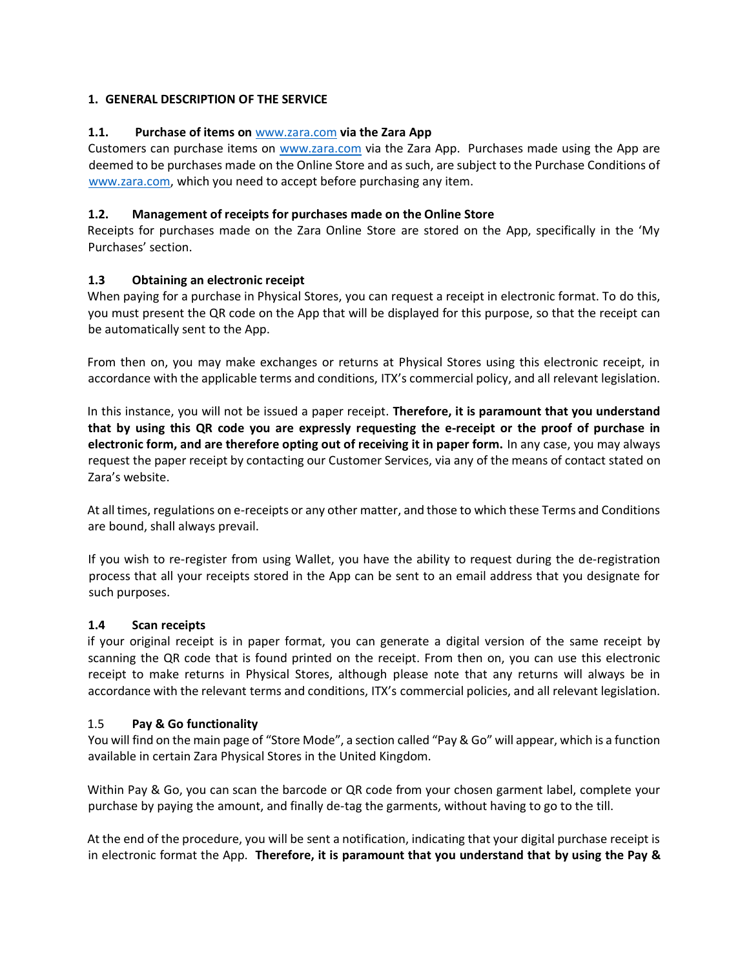## **1. GENERAL DESCRIPTION OF THE SERVICE**

## **1.1. Purchase of items on** [www.zara.com](http://www.zara.com/) **via the Zara App**

Customers can purchase items on [www.zara.com](http://www.zara.com/) via the Zara App. Purchases made using the App are deemed to be purchases made on the Online Store and as such, are subject to the Purchase Conditions of [www.zara.com,](http://www.zara.com/) which you need to accept before purchasing any item.

## **1.2. Management of receipts for purchases made on the Online Store**

Receipts for purchases made on the Zara Online Store are stored on the App, specifically in the 'My Purchases' section.

## **1.3 Obtaining an electronic receipt**

When paying for a purchase in Physical Stores, you can request a receipt in electronic format. To do this, you must present the QR code on the App that will be displayed for this purpose, so that the receipt can be automatically sent to the App.

From then on, you may make exchanges or returns at Physical Stores using this electronic receipt, in accordance with the applicable terms and conditions, ITX's commercial policy, and all relevant legislation.

In this instance, you will not be issued a paper receipt. **Therefore, it is paramount that you understand that by using this QR code you are expressly requesting the e-receipt or the proof of purchase in electronic form, and are therefore opting out of receiving it in paper form.** In any case, you may always request the paper receipt by contacting our Customer Services, via any of the means of contact stated on Zara's website.

At all times, regulations on e-receipts or any other matter, and those to which these Terms and Conditions are bound, shall always prevail.

If you wish to re-register from using Wallet, you have the ability to request during the de-registration process that all your receipts stored in the App can be sent to an email address that you designate for such purposes.

## **1.4 Scan receipts**

if your original receipt is in paper format, you can generate a digital version of the same receipt by scanning the QR code that is found printed on the receipt. From then on, you can use this electronic receipt to make returns in Physical Stores, although please note that any returns will always be in accordance with the relevant terms and conditions, ITX's commercial policies, and all relevant legislation.

## 1.5 **Pay & Go functionality**

You will find on the main page of "Store Mode", a section called "Pay & Go" will appear, which is a function available in certain Zara Physical Stores in the United Kingdom.

Within Pay & Go, you can scan the barcode or QR code from your chosen garment label, complete your purchase by paying the amount, and finally de-tag the garments, without having to go to the till.

At the end of the procedure, you will be sent a notification, indicating that your digital purchase receipt is in electronic format the App. **Therefore, it is paramount that you understand that by using the Pay &**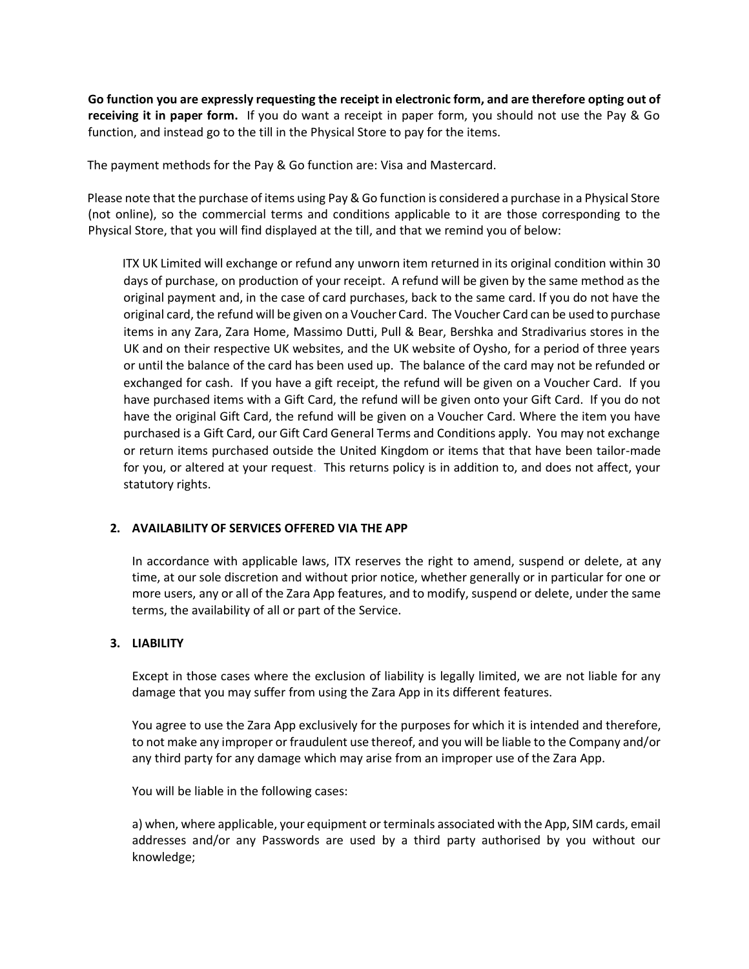**Go function you are expressly requesting the receipt in electronic form, and are therefore opting out of receiving it in paper form.** If you do want a receipt in paper form, you should not use the Pay & Go function, and instead go to the till in the Physical Store to pay for the items.

The payment methods for the Pay & Go function are: Visa and Mastercard.

Please note that the purchase of items using Pay & Go function is considered a purchase in a Physical Store (not online), so the commercial terms and conditions applicable to it are those corresponding to the Physical Store, that you will find displayed at the till, and that we remind you of below:

ITX UK Limited will exchange or refund any unworn item returned in its original condition within 30 days of purchase, on production of your receipt. A refund will be given by the same method as the original payment and, in the case of card purchases, back to the same card. If you do not have the original card, the refund will be given on a Voucher Card. The Voucher Card can be used to purchase items in any Zara, Zara Home, Massimo Dutti, Pull & Bear, Bershka and Stradivarius stores in the UK and on their respective UK websites, and the UK website of Oysho, for a period of three years or until the balance of the card has been used up. The balance of the card may not be refunded or exchanged for cash. If you have a gift receipt, the refund will be given on a Voucher Card. If you have purchased items with a Gift Card, the refund will be given onto your Gift Card. If you do not have the original Gift Card, the refund will be given on a Voucher Card. Where the item you have purchased is a Gift Card, our Gift Card General Terms and Conditions apply. You may not exchange or return items purchased outside the United Kingdom or items that that have been tailor-made for you, or altered at your request. This returns policy is in addition to, and does not affect, your statutory rights.

## **2. AVAILABILITY OF SERVICES OFFERED VIA THE APP**

In accordance with applicable laws, ITX reserves the right to amend, suspend or delete, at any time, at our sole discretion and without prior notice, whether generally or in particular for one or more users, any or all of the Zara App features, and to modify, suspend or delete, under the same terms, the availability of all or part of the Service.

#### **3. LIABILITY**

Except in those cases where the exclusion of liability is legally limited, we are not liable for any damage that you may suffer from using the Zara App in its different features.

You agree to use the Zara App exclusively for the purposes for which it is intended and therefore, to not make any improper or fraudulent use thereof, and you will be liable to the Company and/or any third party for any damage which may arise from an improper use of the Zara App.

You will be liable in the following cases:

a) when, where applicable, your equipment or terminals associated with the App, SIM cards, email addresses and/or any Passwords are used by a third party authorised by you without our knowledge;